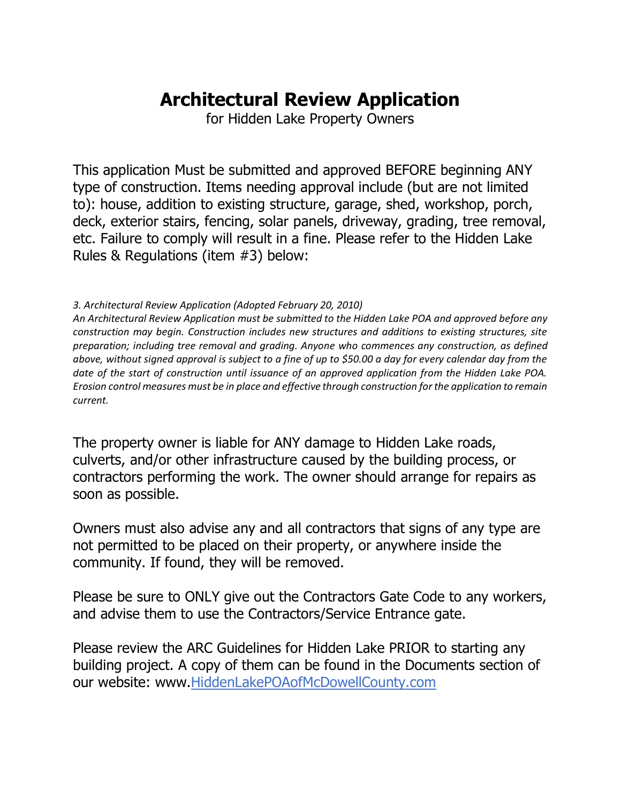# **Architectural Review Application**

for Hidden Lake Property Owners

This application Must be submitted and approved BEFORE beginning ANY type of construction. Items needing approval include (but are not limited to): house, addition to existing structure, garage, shed, workshop, porch, deck, exterior stairs, fencing, solar panels, driveway, grading, tree removal, etc. Failure to comply will result in a fine. Please refer to the Hidden Lake Rules & Regulations (item #3) below:

#### *3. Architectural Review Application (Adopted February 20, 2010)*

*An Architectural Review Application must be submitted to the Hidden Lake POA and approved before any construction may begin. Construction includes new structures and additions to existing structures, site preparation; including tree removal and grading. Anyone who commences any construction, as defined above, without signed approval is subject to a fine of up to \$50.00 a day for every calendar day from the date of the start of construction until issuance of an approved application from the Hidden Lake POA. Erosion control measures must be in place and effective through construction for the application to remain current.* 

The property owner is liable for ANY damage to Hidden Lake roads, culverts, and/or other infrastructure caused by the building process, or contractors performing the work. The owner should arrange for repairs as soon as possible.

Owners must also advise any and all contractors that signs of any type are not permitted to be placed on their property, or anywhere inside the community. If found, they will be removed.

Please be sure to ONLY give out the Contractors Gate Code to any workers, and advise them to use the Contractors/Service Entrance gate.

Please review the ARC Guidelines for Hidden Lake PRIOR to starting any building project. A copy of them can be found in the Documents section of our website: www.HiddenLakePOAofMcDowellCounty.com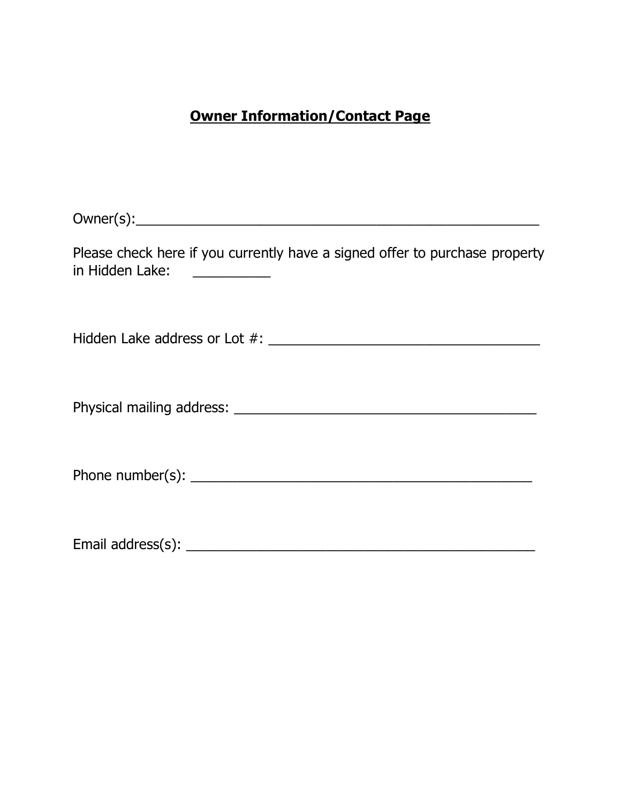#### **Owner Information/Contact Page**

 $Owner(s):$ 

Please check here if you currently have a signed offer to purchase property in Hidden Lake: \_\_\_\_\_\_\_\_\_\_\_

Hidden Lake address or Lot #: \_\_\_\_\_\_\_\_\_\_\_\_\_\_\_\_\_\_\_\_\_\_\_\_\_\_\_\_\_\_\_\_\_\_\_

Physical mailing address: \_\_\_\_\_\_\_\_\_\_\_\_\_\_\_\_\_\_\_\_\_\_\_\_\_\_\_\_\_\_\_\_\_\_\_\_\_\_\_

Phone number(s): \_\_\_\_\_\_\_\_\_\_\_\_\_\_\_\_\_\_\_\_\_\_\_\_\_\_\_\_\_\_\_\_\_\_\_\_\_\_\_\_\_\_\_\_

Email address(s): \_\_\_\_\_\_\_\_\_\_\_\_\_\_\_\_\_\_\_\_\_\_\_\_\_\_\_\_\_\_\_\_\_\_\_\_\_\_\_\_\_\_\_\_\_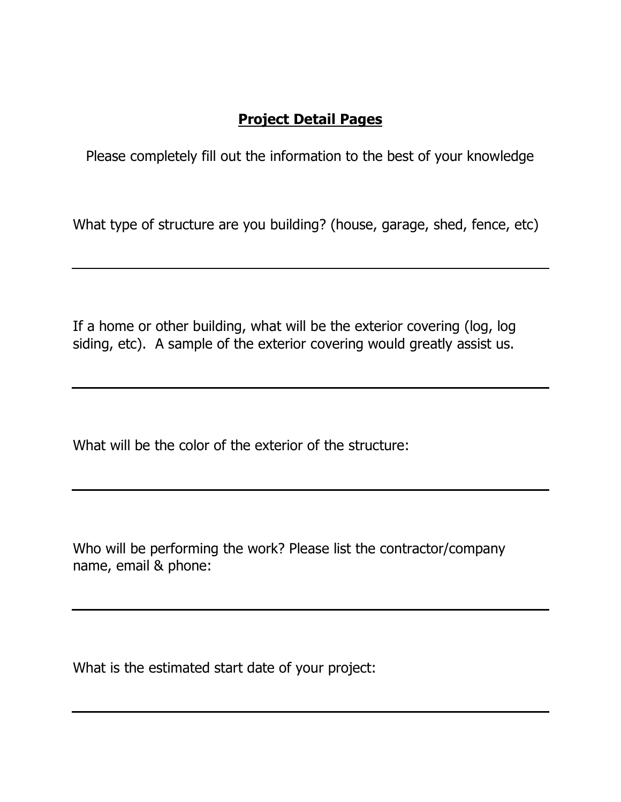### **Project Detail Pages**

Please completely fill out the information to the best of your knowledge

What type of structure are you building? (house, garage, shed, fence, etc)

If a home or other building, what will be the exterior covering (log, log siding, etc). A sample of the exterior covering would greatly assist us.

What will be the color of the exterior of the structure:

Who will be performing the work? Please list the contractor/company name, email & phone:

What is the estimated start date of your project: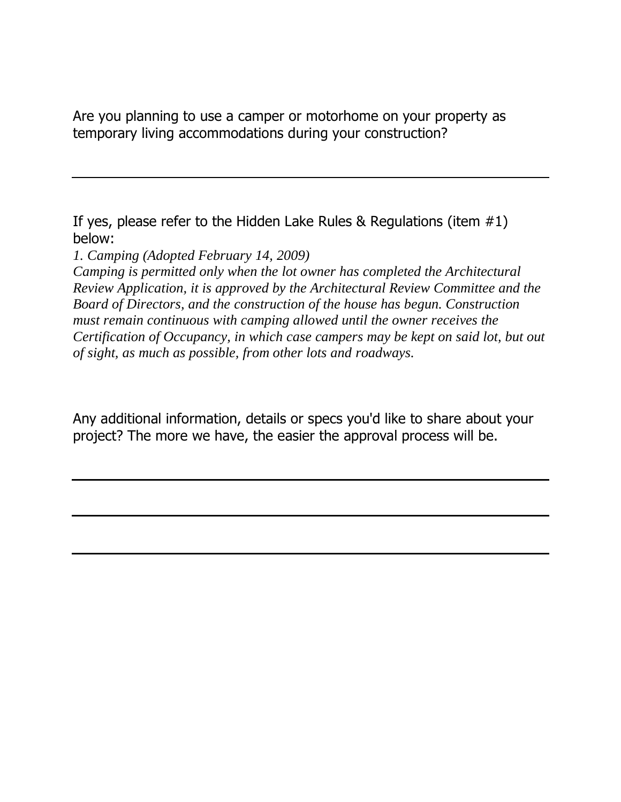Are you planning to use a camper or motorhome on your property as temporary living accommodations during your construction?

If yes, please refer to the Hidden Lake Rules & Regulations (item #1) below:

*1. Camping (Adopted February 14, 2009)* 

*Camping is permitted only when the lot owner has completed the Architectural Review Application, it is approved by the Architectural Review Committee and the Board of Directors, and the construction of the house has begun. Construction must remain continuous with camping allowed until the owner receives the Certification of Occupancy, in which case campers may be kept on said lot, but out of sight, as much as possible, from other lots and roadways.*

Any additional information, details or specs you'd like to share about your project? The more we have, the easier the approval process will be.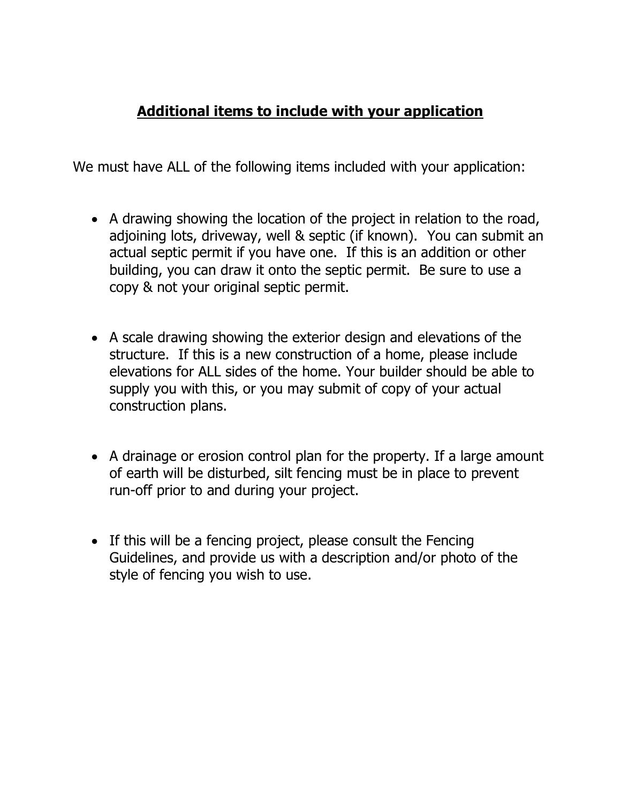## **Additional items to include with your application**

We must have ALL of the following items included with your application:

- A drawing showing the location of the project in relation to the road, adjoining lots, driveway, well & septic (if known). You can submit an actual septic permit if you have one. If this is an addition or other building, you can draw it onto the septic permit. Be sure to use a copy & not your original septic permit.
- A scale drawing showing the exterior design and elevations of the structure. If this is a new construction of a home, please include elevations for ALL sides of the home. Your builder should be able to supply you with this, or you may submit of copy of your actual construction plans.
- A drainage or erosion control plan for the property. If a large amount of earth will be disturbed, silt fencing must be in place to prevent run-off prior to and during your project.
- If this will be a fencing project, please consult the Fencing Guidelines, and provide us with a description and/or photo of the style of fencing you wish to use.